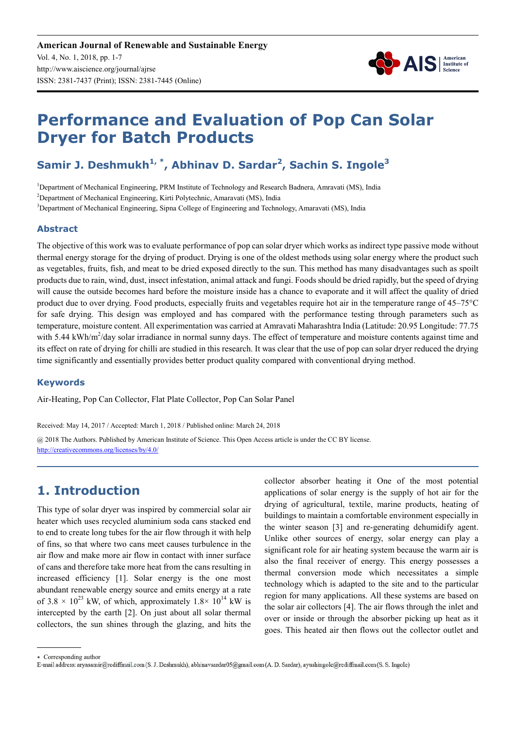

# **Performance and Evaluation of Pop Can Solar Dryer for Batch Products**

## **Samir J. Deshmukh1, \*, Abhinav D. Sardar<sup>2</sup> , Sachin S. Ingole<sup>3</sup>**

<sup>1</sup>Department of Mechanical Engineering, PRM Institute of Technology and Research Badnera, Amravati (MS), India

<sup>2</sup>Department of Mechanical Engineering, Kirti Polytechnic, Amaravati (MS), India

<sup>3</sup>Department of Mechanical Engineering, Sipna College of Engineering and Technology, Amaravati (MS), India

#### **Abstract**

The objective of this work was to evaluate performance of pop can solar dryer which works as indirect type passive mode without thermal energy storage for the drying of product. Drying is one of the oldest methods using solar energy where the product such as vegetables, fruits, fish, and meat to be dried exposed directly to the sun. This method has many disadvantages such as spoilt products due to rain, wind, dust, insect infestation, animal attack and fungi. Foods should be dried rapidly, but the speed of drying will cause the outside becomes hard before the moisture inside has a chance to evaporate and it will affect the quality of dried product due to over drying. Food products, especially fruits and vegetables require hot air in the temperature range of 45–75°C for safe drying. This design was employed and has compared with the performance testing through parameters such as temperature, moisture content. All experimentation was carried at Amravati Maharashtra India (Latitude: 20.95 Longitude: 77.75 with 5.44 kWh/m<sup>2</sup>/day solar irradiance in normal sunny days. The effect of temperature and moisture contents against time and its effect on rate of drying for chilli are studied in this research. It was clear that the use of pop can solar dryer reduced the drying time significantly and essentially provides better product quality compared with conventional drying method.

#### **Keywords**

Air-Heating, Pop Can Collector, Flat Plate Collector, Pop Can Solar Panel

Received: May 14, 2017 / Accepted: March 1, 2018 / Published online: March 24, 2018 @ 2018 The Authors. Published by American Institute of Science. This Open Access article is under the CC BY license. http://creativecommons.org/licenses/by/4.0/

# **1. Introduction**

This type of solar dryer was inspired by commercial solar air heater which uses recycled aluminium soda cans stacked end to end to create long tubes for the air flow through it with help of fins, so that where two cans meet causes turbulence in the air flow and make more air flow in contact with inner surface of cans and therefore take more heat from the cans resulting in increased efficiency [1]. Solar energy is the one most abundant renewable energy source and emits energy at a rate of 3.8  $\times$  10<sup>23</sup> kW, of which, approximately 1.8 $\times$  10<sup>14</sup> kW is intercepted by the earth [2]. On just about all solar thermal collectors, the sun shines through the glazing, and hits the collector absorber heating it One of the most potential applications of solar energy is the supply of hot air for the drying of agricultural, textile, marine products, heating of buildings to maintain a comfortable environment especially in the winter season [3] and re-generating dehumidify agent. Unlike other sources of energy, solar energy can play a significant role for air heating system because the warm air is also the final receiver of energy. This energy possesses a thermal conversion mode which necessitates a simple technology which is adapted to the site and to the particular region for many applications. All these systems are based on the solar air collectors [4]. The air flows through the inlet and over or inside or through the absorber picking up heat as it goes. This heated air then flows out the collector outlet and

<sup>\*</sup> Corresponding author<br>E-mail address: aryasamir@rediffmail.com (S. J. Deshmukh), abhinavsardar05@gmail.com (A. D. Sardar), ayushingole@rediffmail.com (S. S. Ingole)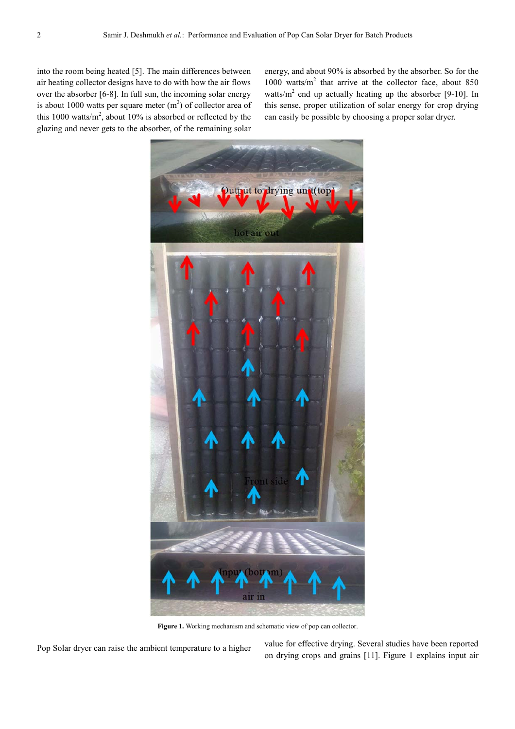into the room being heated [5]. The main differences between air heating collector designs have to do with how the air flows over the absorber [6-8]. In full sun, the incoming solar energy is about 1000 watts per square meter  $(m<sup>2</sup>)$  of collector area of this 1000 watts/ $m^2$ , about 10% is absorbed or reflected by the glazing and never gets to the absorber, of the remaining solar

energy, and about 90% is absorbed by the absorber. So for the 1000 watts/ $m<sup>2</sup>$  that arrive at the collector face, about 850 watts/ $m^2$  end up actually heating up the absorber [9-10]. In this sense, proper utilization of solar energy for crop drying can easily be possible by choosing a proper solar dryer.



**Figure 1.** Working mechanism and schematic view of pop can collector.

Pop Solar dryer can raise the ambient temperature to a higher value for effective drying. Several studies have been reported on drying crops and grains [11]. Figure 1 explains input air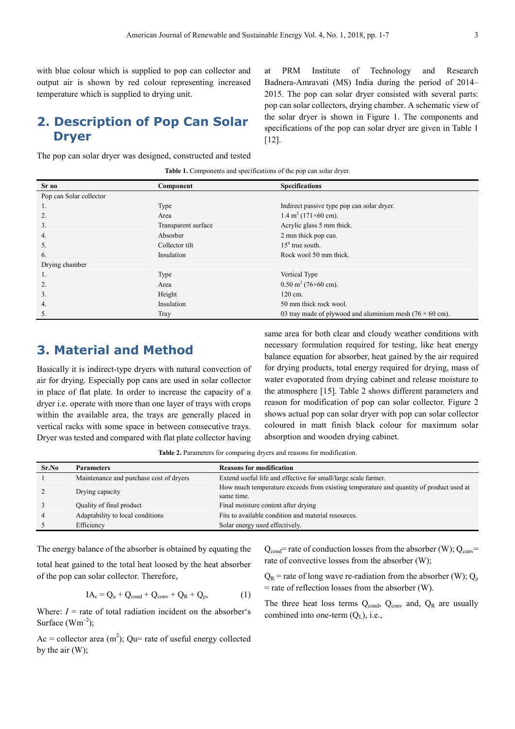with blue colour which is supplied to pop can collector and output air is shown by red colour representing increased temperature which is supplied to drying unit.

### **2. Description of Pop Can Solar Dryer**

The pop can solar dryer was designed, constructed and tested

at PRM Institute of Technology and Research Badnera-Amravati (MS) India during the period of 2014– 2015. The pop can solar dryer consisted with several parts: pop can solar collectors, drying chamber. A schematic view of the solar dryer is shown in Figure 1. The components and specifications of the pop can solar dryer are given in Table 1 [12].

| <b>Table 1.</b> Components and specifications of the pop can solar dryer. |                                      |                                                                  |  |  |  |  |
|---------------------------------------------------------------------------|--------------------------------------|------------------------------------------------------------------|--|--|--|--|
| Sr no                                                                     | Component                            | <b>Specifications</b>                                            |  |  |  |  |
| Pop can Solar collector                                                   |                                      |                                                                  |  |  |  |  |
| 1.                                                                        | Type                                 | Indirect passive type pop can solar dryer.                       |  |  |  |  |
| 2.                                                                        | Area                                 | $1.4 \text{ m}^2$ (171×60 cm).                                   |  |  |  |  |
| 3.                                                                        | Transparent surface                  | Acrylic glass 5 mm thick.                                        |  |  |  |  |
| 4.                                                                        | Absorber                             | 2 mm thick pop can.                                              |  |  |  |  |
| 5.                                                                        | Collector tilt                       | $150$ true south.                                                |  |  |  |  |
| 6.                                                                        | Insulation<br>Rock wool 50 mm thick. |                                                                  |  |  |  |  |
| Drying chamber                                                            |                                      |                                                                  |  |  |  |  |
| 1.                                                                        | Type                                 | Vertical Type                                                    |  |  |  |  |
| 2.                                                                        | Area                                 | $0.50$ m <sup>2</sup> (76×60 cm).                                |  |  |  |  |
| 3.                                                                        | Height                               | 120 cm.                                                          |  |  |  |  |
| 4.                                                                        | Insulation                           | 50 mm thick rock wool.                                           |  |  |  |  |
| 5.                                                                        | Tray                                 | 03 tray made of plywood and aluminium mesh ( $76 \times 60$ cm). |  |  |  |  |

#### **3. Material and Method**

Basically it is indirect-type dryers with natural convection of air for drying. Especially pop cans are used in solar collector in place of flat plate. In order to increase the capacity of a dryer i.e. operate with more than one layer of trays with crops within the available area, the trays are generally placed in vertical racks with some space in between consecutive trays. Dryer was tested and compared with flat plate collector having

same area for both clear and cloudy weather conditions with necessary formulation required for testing, like heat energy balance equation for absorber, heat gained by the air required for drying products, total energy required for drying, mass of water evaporated from drying cabinet and release moisture to the atmosphere [15]. Table 2 shows different parameters and reason for modification of pop can solar collector. Figure 2 shows actual pop can solar dryer with pop can solar collector coloured in matt finish black colour for maximum solar absorption and wooden drying cabinet.

**Table 2.** Parameters for comparing dryers and reasons for modification.

| Sr.No          | <b>Parameters</b>                       | <b>Reasons for modification</b>                                                                      |
|----------------|-----------------------------------------|------------------------------------------------------------------------------------------------------|
|                | Maintenance and purchase cost of dryers | Extend useful life and effective for small/large scale farmer.                                       |
| 2              | Drying capacity                         | How much temperature exceeds from existing temperature and quantity of product used at<br>same time. |
|                | Quality of final product                | Final moisture content after drying                                                                  |
| $\overline{4}$ | Adaptability to local conditions        | Fits to available condition and material resources.                                                  |
|                | Efficiency                              | Solar energy used effectively.                                                                       |

The energy balance of the absorber is obtained by equating the

total heat gained to the total heat loosed by the heat absorber of the pop can solar collector. Therefore,

$$
IA_c = Q_u + Q_{cond} + Q_{conv} + Q_R + Q_\rho, \tag{1}
$$

Where:  $I =$  rate of total radiation incident on the absorber's Surface  $(Wm^{-2})$ ;

Ac = collector area  $(m^2)$ ; Qu= rate of useful energy collected by the air (W);

 $Q_{cond}$  = rate of conduction losses from the absorber (W);  $Q_{conv}$  = rate of convective losses from the absorber (W);

 $Q_R$  = rate of long wave re-radiation from the absorber (W);  $Q_0$ = rate of reflection losses from the absorber (W).

The three heat loss terms  $Q_{cond}$ ,  $Q_{conv}$  and,  $Q_{R}$  are usually combined into one-term  $(Q_L)$ , i.e.,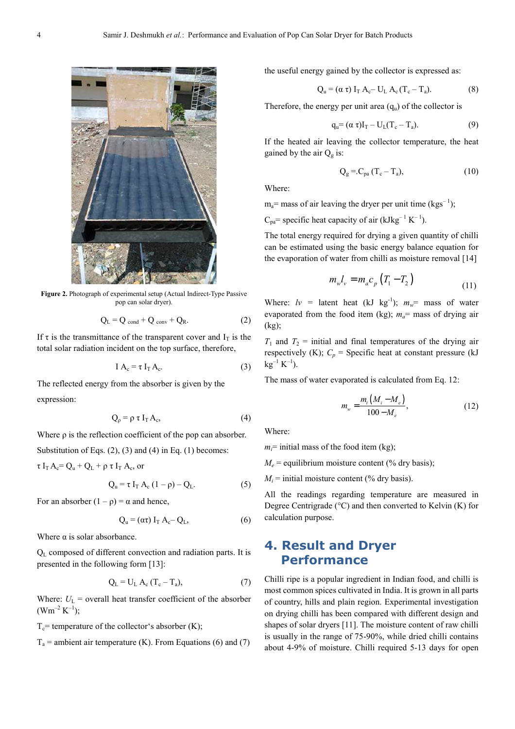

**Figure 2.** Photograph of experimental setup (Actual Indirect-Type Passive pop can solar dryer).

$$
Q_{L} = Q_{cond} + Q_{conv} + Q_{R}.
$$
 (2)

If  $\tau$  is the transmittance of the transparent cover and I<sub>T</sub> is the total solar radiation incident on the top surface, therefore,

$$
IA_c = \tau I_T A_c.
$$
 (3)

The reflected energy from the absorber is given by the expression:

$$
Q_{\rho} = \rho \tau I_{T} A_{c}, \qquad (4)
$$

Where ρ is the reflection coefficient of the pop can absorber.

Substitution of Eqs.  $(2)$ ,  $(3)$  and  $(4)$  in Eq.  $(1)$  becomes:

 $\tau I_{\rm T} A_{\rm c} = Q_{\rm u} + Q_{\rm L} + \rho \tau I_{\rm T} A_{\rm c}$ , or

$$
Q_u = \tau I_T A_c (1 - \rho) - Q_L. \tag{5}
$$

For an absorber  $(1 - \rho) = \alpha$  and hence,

$$
Q_u = (\alpha \tau) I_T A_c - Q_L, \qquad (6)
$$

Where  $\alpha$  is solar absorbance.

Q<sup>L</sup> composed of different convection and radiation parts. It is presented in the following form [13]:

$$
Q_{L} = U_{L} A_{c} (T_{c} - T_{a}), \qquad (7)
$$

Where:  $U_L$  = overall heat transfer coefficient of the absorber  $(Wm^{-2} K^{-1})$ ;

 $T_c$ = temperature of the collector's absorber (K);

 $T_a$  = ambient air temperature (K). From Equations (6) and (7)

the useful energy gained by the collector is expressed as:

$$
Q_{u} = (\alpha \tau) I_{T} A_{c} - U_{L} A_{c} (T_{c} - T_{a}). \qquad (8)
$$

Therefore, the energy per unit area  $(q_n)$  of the collector is

$$
q_u = (\alpha \tau)I_T - U_L(T_c - T_a). \tag{9}
$$

If the heated air leaving the collector temperature, the heat gained by the air  $Q<sub>g</sub>$  is:

$$
Q_g = C_{pa} (T_c - T_a), \qquad (10)
$$

Where:

 $m_a$ = mass of air leaving the dryer per unit time (kgs<sup>-1</sup>);

 $C_{pa}$ = specific heat capacity of air (kJkg<sup>-1</sup> K<sup>-1</sup>).

The total energy required for drying a given quantity of chilli can be estimated using the basic energy balance equation for the evaporation of water from chilli as moisture removal [14]

$$
m_{w}l_{v} = m_{a}c_{p}\left(T_{1}-T_{2}\right) \tag{11}
$$

Where:  $lv =$  latent heat (kJ kg<sup>-1</sup>);  $m_w =$  mass of water evaporated from the food item (kg);  $m_a$ = mass of drying air (kg);

 $T_1$  and  $T_2$  = initial and final temperatures of the drying air respectively (K);  $C_p$  = Specific heat at constant pressure (kJ)  $kg^{-1} K^{-1}$ ).

The mass of water evaporated is calculated from Eq. 12:

$$
m_w = \frac{m_i (M_i - M_e)}{100 - M_e},
$$
\n(12)

Where:

 $m<sub>i</sub>$ = initial mass of the food item (kg);

 $M_e$  = equilibrium moisture content (% dry basis);

 $M_i$  = initial moisture content (% dry basis).

All the readings regarding temperature are measured in Degree Centrigrade (°C) and then converted to Kelvin (K) for calculation purpose.

#### **4. Result and Dryer Performance**

Chilli ripe is a popular ingredient in Indian food, and chilli is most common spices cultivated in India. It is grown in all parts of country, hills and plain region. Experimental investigation on drying chilli has been compared with different design and shapes of solar dryers [11]. The moisture content of raw chilli is usually in the range of 75-90%, while dried chilli contains about 4-9% of moisture. Chilli required 5-13 days for open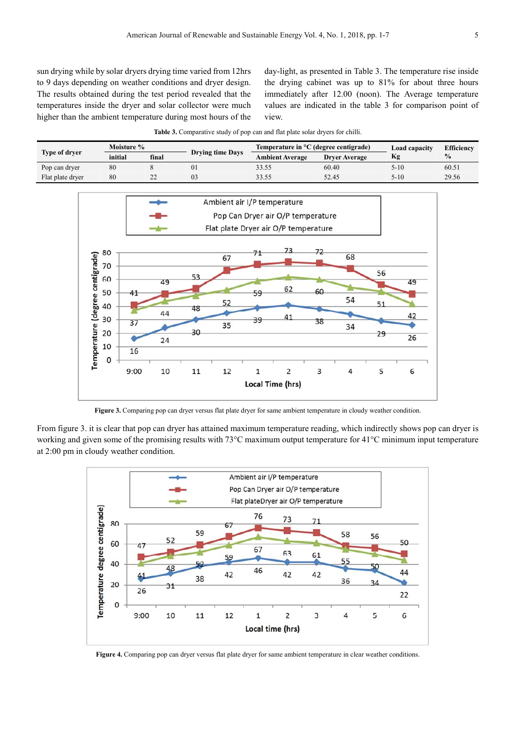sun drying while by solar dryers drying time varied from 12hrs to 9 days depending on weather conditions and dryer design. The results obtained during the test period revealed that the temperatures inside the dryer and solar collector were much higher than the ambient temperature during most hours of the day-light, as presented in Table 3. The temperature rise inside the drying cabinet was up to 81% for about three hours immediately after 12.00 (noon). The Average temperature values are indicated in the table 3 for comparison point of view.

| <b>Table 3.</b> Comparative study of pop can and flat plate solar dryers for chilli. |  |
|--------------------------------------------------------------------------------------|--|
|--------------------------------------------------------------------------------------|--|

| <b>Type of dryer</b> | Moisture % |              |                         | Temperature in °C (degree centigrade) |                      | Load capacity | <b>Efficiency</b> |
|----------------------|------------|--------------|-------------------------|---------------------------------------|----------------------|---------------|-------------------|
|                      | initial    | final        | <b>Drying time Days</b> | <b>Ambient Average</b>                | <b>Drver Average</b> | Κg            | $\frac{0}{0}$     |
| Pop can dryer        | 80         |              | 01                      | 33.55                                 | 60.40                | 5-10          | 60.51             |
| Flat plate dryer     | 80         | $\sim$<br>∠∠ | 03                      | 33.55                                 | 52.45                | 5-10          | 29.56             |



**Figure 3.** Comparing pop can dryer versus flat plate dryer for same ambient temperature in cloudy weather condition.

From figure 3. it is clear that pop can dryer has attained maximum temperature reading, which indirectly shows pop can dryer is working and given some of the promising results with 73°C maximum output temperature for 41°C minimum input temperature at 2:00 pm in cloudy weather condition.



**Figure 4.** Comparing pop can dryer versus flat plate dryer for same ambient temperature in clear weather conditions.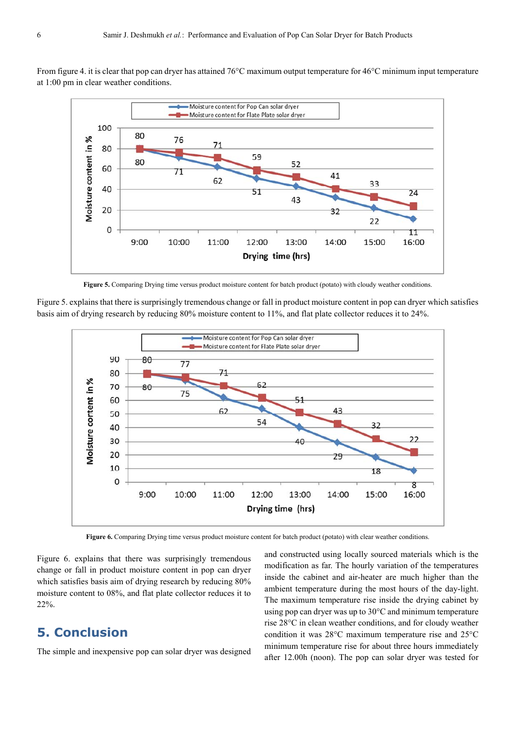

From figure 4. it is clear that pop can dryer has attained 76°C maximum output temperature for 46°C minimum input temperature at 1:00 pm in clear weather conditions.

**Figure 5.** Comparing Drying time versus product moisture content for batch product (potato) with cloudy weather conditions.

Figure 5. explains that there is surprisingly tremendous change or fall in product moisture content in pop can dryer which satisfies basis aim of drying research by reducing 80% moisture content to 11%, and flat plate collector reduces it to 24%.



**Figure 6.** Comparing Drying time versus product moisture content for batch product (potato) with clear weather conditions.

Figure 6. explains that there was surprisingly tremendous change or fall in product moisture content in pop can dryer which satisfies basis aim of drying research by reducing 80% moisture content to 08%, and flat plate collector reduces it to 22%.

### **5. Conclusion**

The simple and inexpensive pop can solar dryer was designed

and constructed using locally sourced materials which is the modification as far. The hourly variation of the temperatures inside the cabinet and air-heater are much higher than the ambient temperature during the most hours of the day-light. The maximum temperature rise inside the drying cabinet by using pop can dryer was up to 30°C and minimum temperature rise 28°C in clean weather conditions, and for cloudy weather condition it was 28°C maximum temperature rise and 25°C minimum temperature rise for about three hours immediately after 12.00h (noon). The pop can solar dryer was tested for